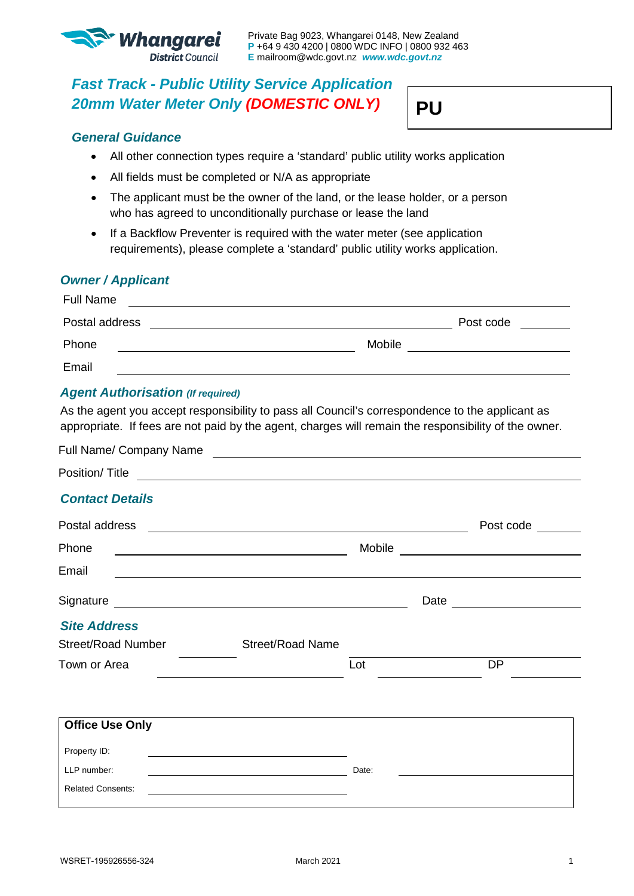

**PU** 

# *Fast Track - Public Utility Service Application 20mm Water Meter Only (DOMESTIC ONLY)*

# *General Guidance*

- All other connection types require a 'standard' public utility works application
- All fields must be completed or N/A as appropriate
- The applicant must be the owner of the land, or the lease holder, or a person who has agreed to unconditionally purchase or lease the land
- If a Backflow Preventer is required with the water meter (see application requirements), please complete a 'standard' public utility works application.

## *Owner / Applicant*

| <b>Full Name</b> |           |  |
|------------------|-----------|--|
| Postal address   | Post code |  |
| Phone            | Mobile    |  |
| Email            |           |  |

## *Agent Authorisation (If required)*

As the agent you accept responsibility to pass all Council's correspondence to the applicant as appropriate. If fees are not paid by the agent, charges will remain the responsibility of the owner.

|       | <u> Andreas Andreas Andreas Andreas Andreas Andreas Andreas Andreas Andreas Andreas Andreas Andreas Andreas Andr</u>                                                                                                                      |                                                                                                                                                                                                           |
|-------|-------------------------------------------------------------------------------------------------------------------------------------------------------------------------------------------------------------------------------------------|-----------------------------------------------------------------------------------------------------------------------------------------------------------------------------------------------------------|
|       |                                                                                                                                                                                                                                           |                                                                                                                                                                                                           |
|       |                                                                                                                                                                                                                                           |                                                                                                                                                                                                           |
|       |                                                                                                                                                                                                                                           | Post code                                                                                                                                                                                                 |
|       |                                                                                                                                                                                                                                           |                                                                                                                                                                                                           |
|       |                                                                                                                                                                                                                                           |                                                                                                                                                                                                           |
|       | Date                                                                                                                                                                                                                                      |                                                                                                                                                                                                           |
|       |                                                                                                                                                                                                                                           |                                                                                                                                                                                                           |
|       |                                                                                                                                                                                                                                           |                                                                                                                                                                                                           |
| Lot   |                                                                                                                                                                                                                                           | DP                                                                                                                                                                                                        |
|       |                                                                                                                                                                                                                                           |                                                                                                                                                                                                           |
|       |                                                                                                                                                                                                                                           |                                                                                                                                                                                                           |
|       |                                                                                                                                                                                                                                           |                                                                                                                                                                                                           |
| Date: |                                                                                                                                                                                                                                           |                                                                                                                                                                                                           |
|       |                                                                                                                                                                                                                                           |                                                                                                                                                                                                           |
|       | <u> 1989 - Johann John Stein, markin sanadi a shekara 1989 - An an tsarani a shekara 1989 - An an tsara</u><br><u> 1989 - Johann Barbara, martxa eta idazlea (h. 1989).</u><br><u> 1980 - Johann Barn, amerikansk politiker (d. 1980)</u> | <u> 1989 - Johann Harry Harry Harry Harry Harry Harry Harry Harry Harry Harry Harry Harry Harry Harry Harry Harry</u><br>,我们也不会有一个人的人,我们也不会有一个人的人,我们也不会有一个人的人。""我们,我们也不会有一个人的人,我们也不会有一个人的人。""我们,我们也不会有一个人 |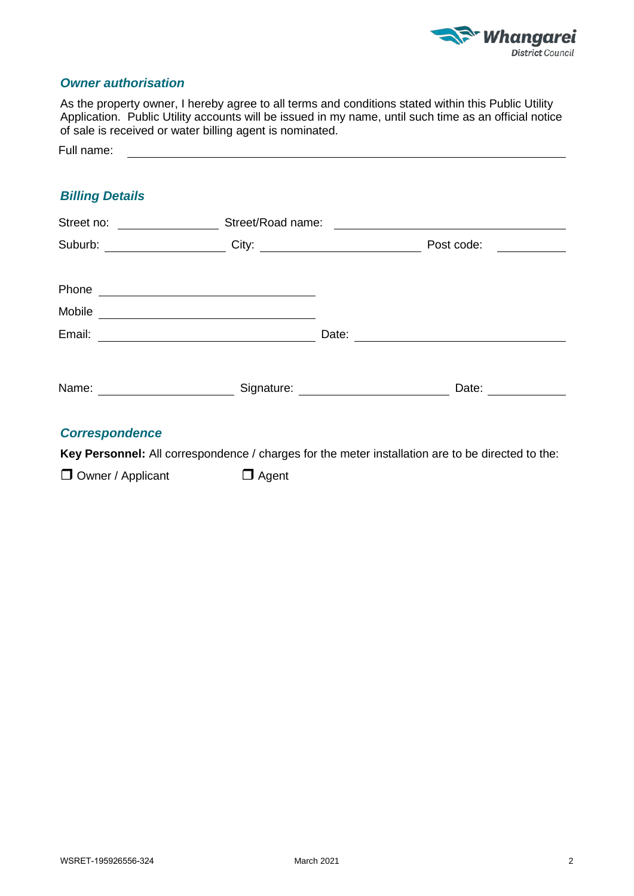

#### *Owner authorisation*

As the property owner, I hereby agree to all terms and conditions stated within this Public Utility Application. Public Utility accounts will be issued in my name, until such time as an official notice of sale is received or water billing agent is nominated.

# *Billing Details*

| Street no:                         | Street/Road name:<br>$\overline{\phantom{a}}$                                                                          |                                  |                                                                                                                                                                                                                                                    |  |  |
|------------------------------------|------------------------------------------------------------------------------------------------------------------------|----------------------------------|----------------------------------------------------------------------------------------------------------------------------------------------------------------------------------------------------------------------------------------------------|--|--|
| Suburb:                            |                                                                                                                        |                                  | Post code:<br><u>and the state of the state of the state of the state of the state of the state of the state of the state of the state of the state of the state of the state of the state of the state of the state of the state of the state</u> |  |  |
| Phone                              | <u> 1989 - Andrea Stadt Britain, amerikansk politiker (</u>                                                            |                                  |                                                                                                                                                                                                                                                    |  |  |
| Mobile                             |                                                                                                                        |                                  |                                                                                                                                                                                                                                                    |  |  |
| Email:                             | <u> 1989 - Johann Stoff, deutscher Stoffen und der Stoffen und der Stoffen und der Stoffen und der Stoffen und der</u> | Date:                            |                                                                                                                                                                                                                                                    |  |  |
| Name:                              |                                                                                                                        | Signature: _____________________ | Date: _________                                                                                                                                                                                                                                    |  |  |
| <b>Commentary Comment Advisory</b> |                                                                                                                        |                                  |                                                                                                                                                                                                                                                    |  |  |

#### *Correspondence*

**Key Personnel:** All correspondence / charges for the meter installation are to be directed to the:

 $\Box$  Owner / Applicant  $\Box$  Agent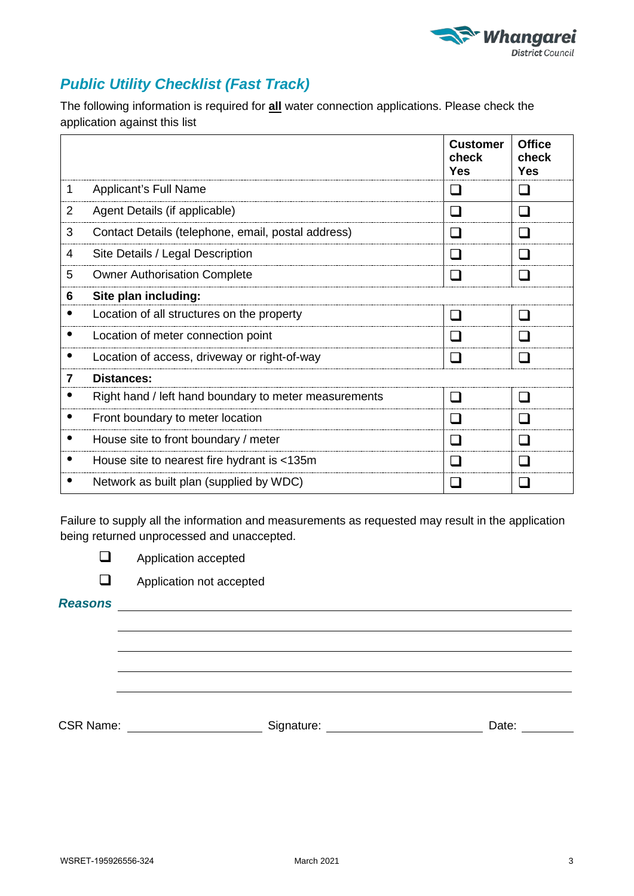

# *Public Utility Checklist (Fast Track)*

The following information is required for **all** water connection applications. Please check the application against this list

|   |                                                       | <b>Customer</b><br>check<br><b>Yes</b> | <b>Office</b><br>check<br><b>Yes</b> |
|---|-------------------------------------------------------|----------------------------------------|--------------------------------------|
| 1 | <b>Applicant's Full Name</b>                          |                                        | l.                                   |
| 2 | Agent Details (if applicable)                         |                                        | H                                    |
| 3 | Contact Details (telephone, email, postal address)    |                                        |                                      |
| 4 | Site Details / Legal Description                      | l. I                                   | $\mathsf{L}$                         |
| 5 | <b>Owner Authorisation Complete</b>                   |                                        |                                      |
| 6 | Site plan including:                                  |                                        |                                      |
|   | Location of all structures on the property            |                                        |                                      |
|   | Location of meter connection point                    | H                                      |                                      |
| ٠ | Location of access, driveway or right-of-way          | l I                                    | $\mathsf{L}$                         |
| 7 | Distances:                                            |                                        |                                      |
|   | Right hand / left hand boundary to meter measurements | a ka                                   | H                                    |
|   | Front boundary to meter location                      |                                        |                                      |
|   | House site to front boundary / meter                  |                                        |                                      |
| ٠ | House site to nearest fire hydrant is <135m           | l.                                     | H                                    |
|   | Network as built plan (supplied by WDC)               |                                        |                                      |

Failure to supply all the information and measurements as requested may result in the application being returned unprocessed and unaccepted.

**Application accepted** 

**Application not accepted** 

*Reasons*

CSR Name: Signature: Signature: Date: Date: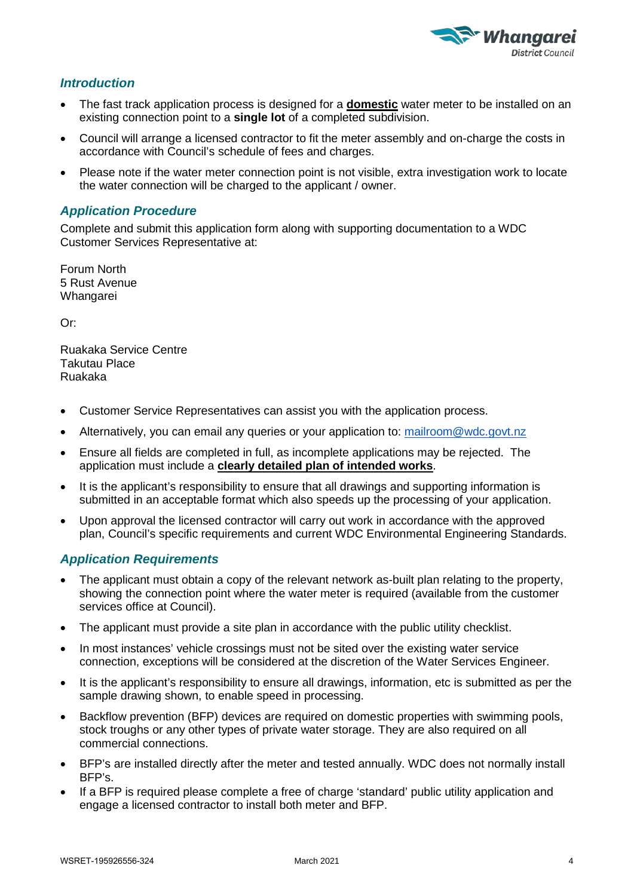

#### *Introduction*

- The fast track application process is designed for a **domestic** water meter to be installed on an existing connection point to a **single lot** of a completed subdivision.
- Council will arrange a licensed contractor to fit the meter assembly and on-charge the costs in accordance with Council's schedule of fees and charges.
- Please note if the water meter connection point is not visible, extra investigation work to locate the water connection will be charged to the applicant / owner.

#### *Application Procedure*

Complete and submit this application form along with supporting documentation to a WDC Customer Services Representative at:

Forum North 5 Rust Avenue Whangarei

Or:

Ruakaka Service Centre Takutau Place Ruakaka

- Customer Service Representatives can assist you with the application process.
- Alternatively, you can email any queries or your application to: [mailroom@wdc.govt.nz](mailto:mailroom@wdc.govt.nz)
- Ensure all fields are completed in full, as incomplete applications may be rejected. The application must include a **clearly detailed plan of intended works**.
- It is the applicant's responsibility to ensure that all drawings and supporting information is submitted in an acceptable format which also speeds up the processing of your application.
- Upon approval the licensed contractor will carry out work in accordance with the approved plan, Council's specific requirements and current WDC Environmental Engineering Standards.

## *Application Requirements*

- The applicant must obtain a copy of the relevant network as-built plan relating to the property, showing the connection point where the water meter is required (available from the customer services office at Council).
- The applicant must provide a site plan in accordance with the public utility checklist.
- In most instances' vehicle crossings must not be sited over the existing water service connection, exceptions will be considered at the discretion of the Water Services Engineer.
- It is the applicant's responsibility to ensure all drawings, information, etc is submitted as per the sample drawing shown, to enable speed in processing.
- Backflow prevention (BFP) devices are required on domestic properties with swimming pools, stock troughs or any other types of private water storage. They are also required on all commercial connections.
- BFP's are installed directly after the meter and tested annually. WDC does not normally install BFP's.
- If a BFP is required please complete a free of charge 'standard' public utility application and engage a licensed contractor to install both meter and BFP.